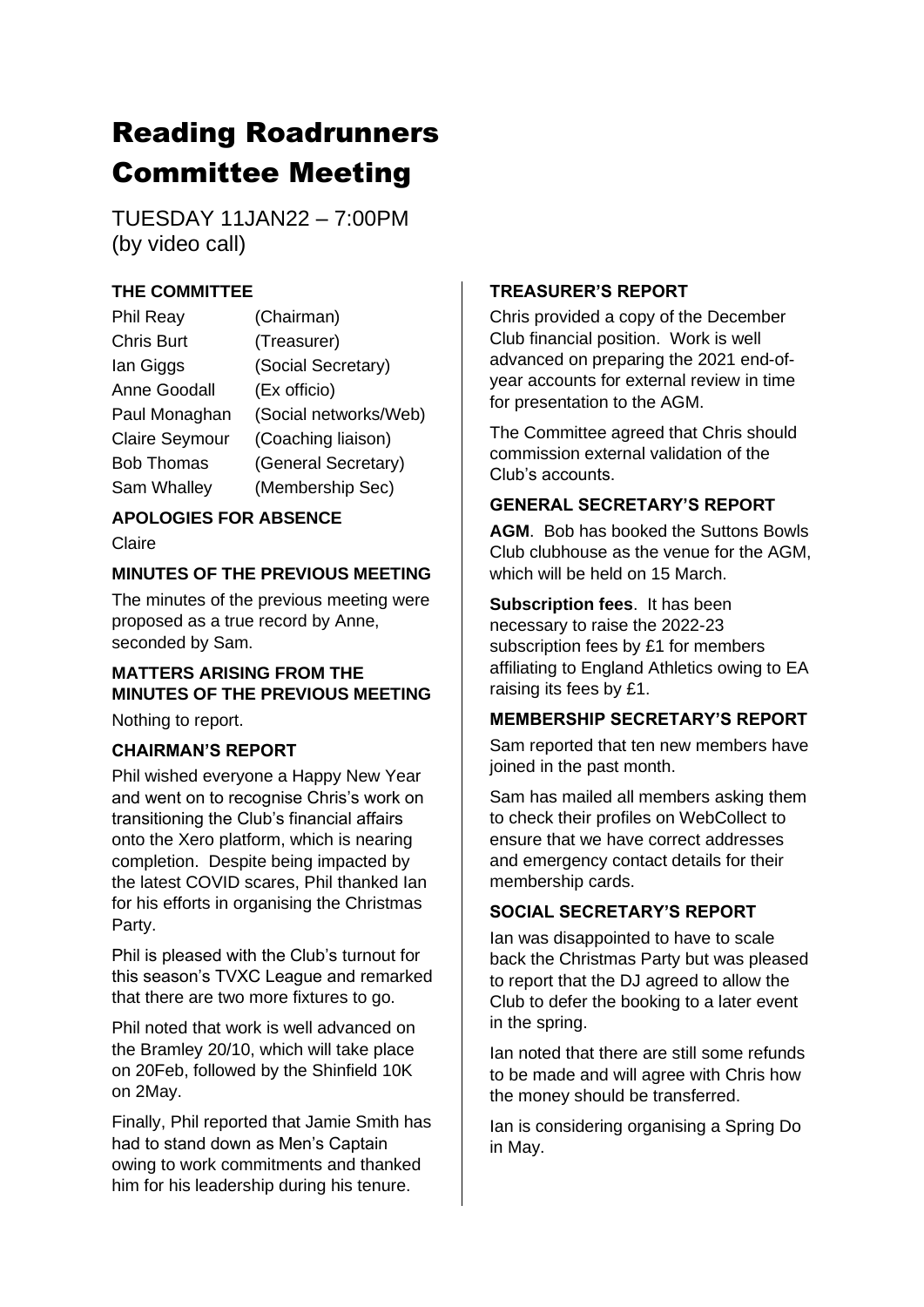# Reading Roadrunners Committee Meeting

TUESDAY 11JAN22 – 7:00PM (by video call)

### **THE COMMITTEE**

| Phil Reay             | (Chairman)            |
|-----------------------|-----------------------|
| <b>Chris Burt</b>     | (Treasurer)           |
| lan Giggs             | (Social Secretary)    |
| <b>Anne Goodall</b>   | (Ex officio)          |
| Paul Monaghan         | (Social networks/Web) |
| <b>Claire Seymour</b> | (Coaching liaison)    |
| <b>Bob Thomas</b>     | (General Secretary)   |
| Sam Whalley           | (Membership Sec)      |

## **APOLOGIES FOR ABSENCE**

Claire

#### **MINUTES OF THE PREVIOUS MEETING**

The minutes of the previous meeting were proposed as a true record by Anne, seconded by Sam.

# **MATTERS ARISING FROM THE MINUTES OF THE PREVIOUS MEETING**

Nothing to report.

#### **CHAIRMAN'S REPORT**

Phil wished everyone a Happy New Year and went on to recognise Chris's work on transitioning the Club's financial affairs onto the Xero platform, which is nearing completion. Despite being impacted by the latest COVID scares, Phil thanked Ian for his efforts in organising the Christmas Party.

Phil is pleased with the Club's turnout for this season's TVXC League and remarked that there are two more fixtures to go.

Phil noted that work is well advanced on the Bramley 20/10, which will take place on 20Feb, followed by the Shinfield 10K on 2May.

Finally, Phil reported that Jamie Smith has had to stand down as Men's Captain owing to work commitments and thanked him for his leadership during his tenure.

#### **TREASURER'S REPORT**

Chris provided a copy of the December Club financial position. Work is well advanced on preparing the 2021 end-ofyear accounts for external review in time for presentation to the AGM.

The Committee agreed that Chris should commission external validation of the Club's accounts.

#### **GENERAL SECRETARY'S REPORT**

**AGM**. Bob has booked the Suttons Bowls Club clubhouse as the venue for the AGM, which will be held on 15 March.

**Subscription fees**. It has been necessary to raise the 2022-23 subscription fees by £1 for members affiliating to England Athletics owing to EA raising its fees by £1.

#### **MEMBERSHIP SECRETARY'S REPORT**

Sam reported that ten new members have joined in the past month.

Sam has mailed all members asking them to check their profiles on WebCollect to ensure that we have correct addresses and emergency contact details for their membership cards.

#### **SOCIAL SECRETARY'S REPORT**

Ian was disappointed to have to scale back the Christmas Party but was pleased to report that the DJ agreed to allow the Club to defer the booking to a later event in the spring.

Ian noted that there are still some refunds to be made and will agree with Chris how the money should be transferred.

Ian is considering organising a Spring Do in May.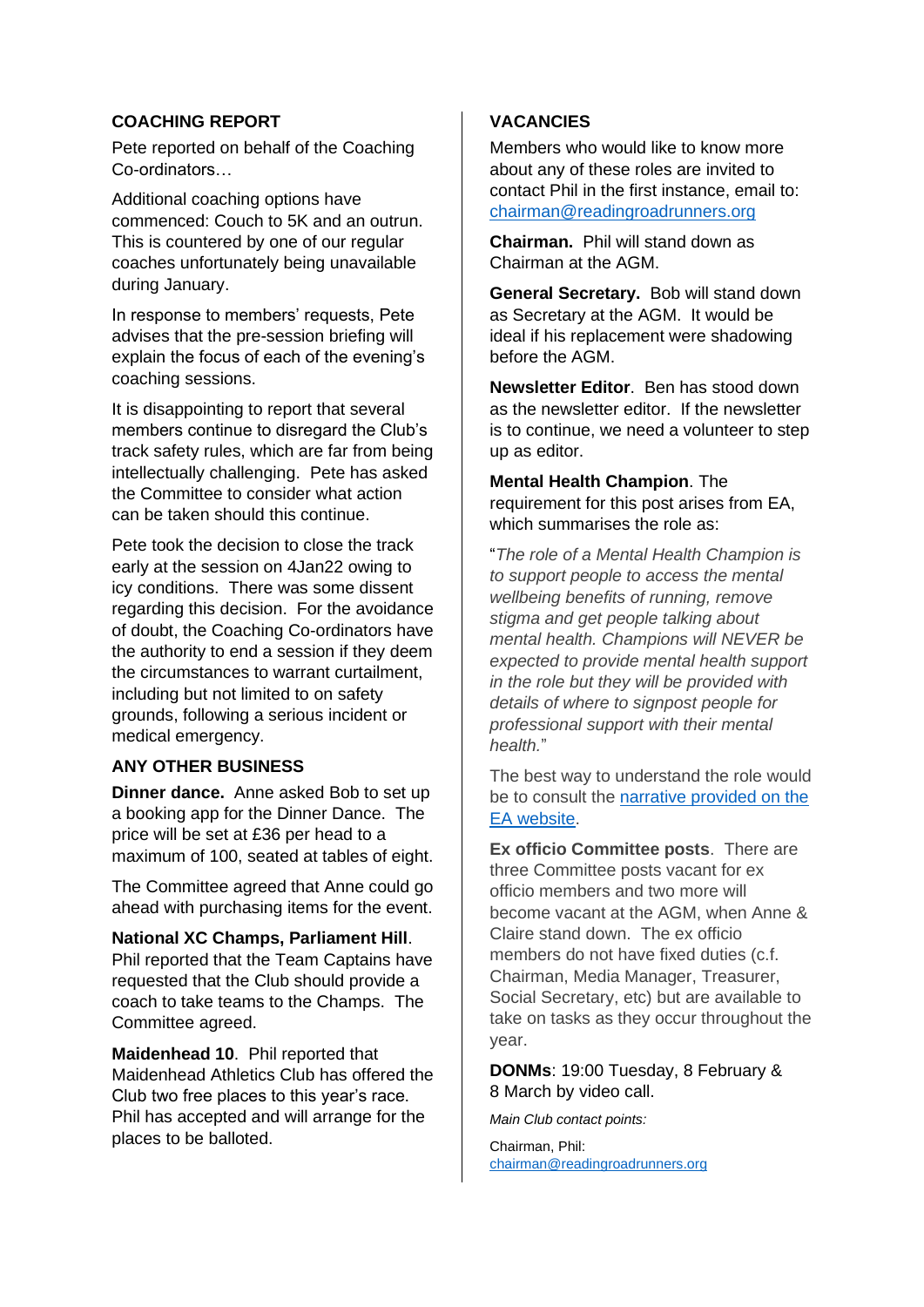#### **COACHING REPORT**

Pete reported on behalf of the Coaching Co-ordinators…

Additional coaching options have commenced: Couch to 5K and an outrun. This is countered by one of our regular coaches unfortunately being unavailable during January.

In response to members' requests, Pete advises that the pre-session briefing will explain the focus of each of the evening's coaching sessions.

It is disappointing to report that several members continue to disregard the Club's track safety rules, which are far from being intellectually challenging. Pete has asked the Committee to consider what action can be taken should this continue.

Pete took the decision to close the track early at the session on 4Jan22 owing to icy conditions. There was some dissent regarding this decision. For the avoidance of doubt, the Coaching Co-ordinators have the authority to end a session if they deem the circumstances to warrant curtailment, including but not limited to on safety grounds, following a serious incident or medical emergency.

#### **ANY OTHER BUSINESS**

**Dinner dance.** Anne asked Bob to set up a booking app for the Dinner Dance. The price will be set at £36 per head to a maximum of 100, seated at tables of eight.

The Committee agreed that Anne could go ahead with purchasing items for the event.

**National XC Champs, Parliament Hill**. Phil reported that the Team Captains have requested that the Club should provide a coach to take teams to the Champs. The Committee agreed.

**Maidenhead 10**. Phil reported that Maidenhead Athletics Club has offered the Club two free places to this year's race. Phil has accepted and will arrange for the places to be balloted.

#### **VACANCIES**

Members who would like to know more about any of these roles are invited to contact Phil in the first instance, email to: [chairman@readingroadrunners.org](mailto:chairman@readingroadrunners.org)

**Chairman.** Phil will stand down as Chairman at the AGM.

**General Secretary.** Bob will stand down as Secretary at the AGM. It would be ideal if his replacement were shadowing before the AGM.

**Newsletter Editor**. Ben has stood down as the newsletter editor. If the newsletter is to continue, we need a volunteer to step up as editor.

**Mental Health Champion**. The requirement for this post arises from EA, which summarises the role as:

"*The role of a Mental Health Champion is to support people to access the mental wellbeing benefits of running, remove stigma and get people talking about mental health. Champions will NEVER be expected to provide mental health support in the role but they will be provided with details of where to signpost people for professional support with their mental health.*"

The best way to understand the role would be to consult the [narrative provided on the](https://www.englandathletics.org/athletics-and-running/our-programmes/runandtalk/mental-health-champions/)  [EA website.](https://www.englandathletics.org/athletics-and-running/our-programmes/runandtalk/mental-health-champions/)

**Ex officio Committee posts**. There are three Committee posts vacant for ex officio members and two more will become vacant at the AGM, when Anne & Claire stand down. The ex officio members do not have fixed duties (c.f. Chairman, Media Manager, Treasurer, Social Secretary, etc) but are available to take on tasks as they occur throughout the year.

**DONMs**: 19:00 Tuesday, 8 February & 8 March by video call.

*Main Club contact points:*

Chairman, Phil: [chairman@readingroadrunners.org](mailto:chairman@readingroadrunners.org)